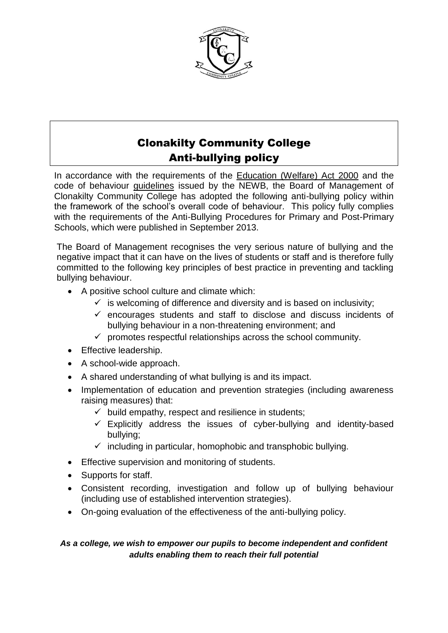

# Clonakilty Community College Anti-bullying policy

In accordance with the requirements of the [Education \(Welfare\) Act 2000](http://www.irishstatutebook.ie/2000/en/act/pub/0022/) and the code of behaviour [guidelines](http://www.etbi.ie/uploads/1/2/0/1/12012149/guidelines_school_codes_eng.pdf) issued by the NEWB, the Board of Management of Clonakilty Community College has adopted the following anti-bullying policy within the framework of the school's overall code of behaviour. This policy fully complies with the requirements of the Anti-Bullying Procedures for Primary and Post-Primary Schools, which were published in September 2013.

The Board of Management recognises the very serious nature of bullying and the negative impact that it can have on the lives of students or staff and is therefore fully committed to the following key principles of best practice in preventing and tackling bullying behaviour.

- A positive school culture and climate which:
	- $\checkmark$  is welcoming of difference and diversity and is based on inclusivity;
	- $\checkmark$  encourages students and staff to disclose and discuss incidents of bullying behaviour in a non-threatening environment; and
	- $\checkmark$  promotes respectful relationships across the school community.
- **•** Effective leadership.
- A school-wide approach.
- A shared understanding of what bullying is and its impact.
- Implementation of education and prevention strategies (including awareness raising measures) that:
	- $\checkmark$  build empathy, respect and resilience in students;
	- $\checkmark$  Explicitly address the issues of cyber-bullying and identity-based bullying;
	- $\checkmark$  including in particular, homophobic and transphobic bullying.
- **Effective supervision and monitoring of students.**
- Supports for staff.
- Consistent recording, investigation and follow up of bullying behaviour (including use of established intervention strategies).
- On-going evaluation of the effectiveness of the anti-bullying policy.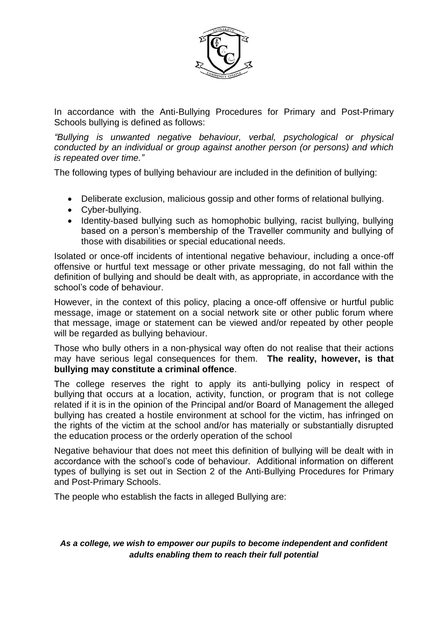

In accordance with the Anti-Bullying Procedures for Primary and Post-Primary Schools bullying is defined as follows:

*"Bullying is unwanted negative behaviour, verbal, psychological or physical conducted by an individual or group against another person (or persons) and which is repeated over time."*

The following types of bullying behaviour are included in the definition of bullying:

- Deliberate exclusion, malicious gossip and other forms of relational bullying.
- Cyber-bullying.
- Identity-based bullying such as homophobic bullying, racist bullying, bullying based on a person's membership of the Traveller community and bullying of those with disabilities or special educational needs.

Isolated or once-off incidents of intentional negative behaviour, including a once-off offensive or hurtful text message or other private messaging, do not fall within the definition of bullying and should be dealt with, as appropriate, in accordance with the school's code of behaviour.

However, in the context of this policy, placing a once-off offensive or hurtful public message, image or statement on a social network site or other public forum where that message, image or statement can be viewed and/or repeated by other people will be regarded as bullying behaviour.

Those who bully others in a non-physical way often do not realise that their actions may have serious legal consequences for them. **The reality, however, is that bullying may constitute a criminal offence**.

The college reserves the right to apply its anti-bullying policy in respect of bullying that occurs at a location, activity, function, or program that is not college related if it is in the opinion of the Principal and/or Board of Management the alleged bullying has created a hostile environment at school for the victim, has infringed on the rights of the victim at the school and/or has materially or substantially disrupted the education process or the orderly operation of the school

Negative behaviour that does not meet this definition of bullying will be dealt with in accordance with the school's code of behaviour. Additional information on different types of bullying is set out in Section 2 of the Anti-Bullying Procedures for Primary and Post-Primary Schools.

The people who establish the facts in alleged Bullying are: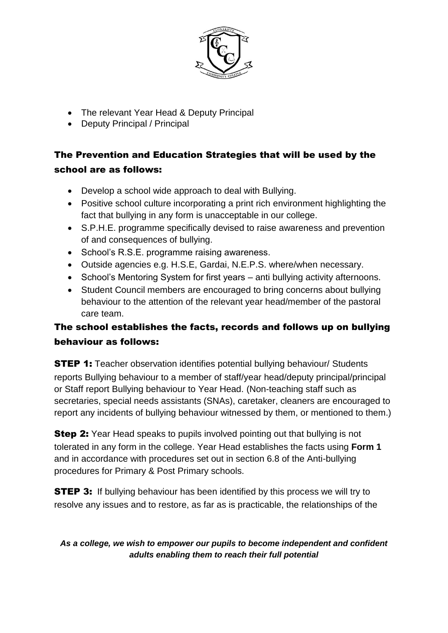

- The relevant Year Head & Deputy Principal
- Deputy Principal / Principal

# The Prevention and Education Strategies that will be used by the school are as follows:

- Develop a school wide approach to deal with Bullying.
- Positive school culture incorporating a print rich environment highlighting the fact that bullying in any form is unacceptable in our college.
- S.P.H.E. programme specifically devised to raise awareness and prevention of and consequences of bullying.
- School's R.S.E. programme raising awareness.
- Outside agencies e.g. H.S.E, Gardai, N.E.P.S. where/when necessary.
- School's Mentoring System for first years anti bullying activity afternoons.
- Student Council members are encouraged to bring concerns about bullying behaviour to the attention of the relevant year head/member of the pastoral care team.

# The school establishes the facts, records and follows up on bullying behaviour as follows:

**STEP 1:** Teacher observation identifies potential bullying behaviour/ Students reports Bullying behaviour to a member of staff/year head/deputy principal/principal or Staff report Bullying behaviour to Year Head. (Non-teaching staff such as secretaries, special needs assistants (SNAs), caretaker, cleaners are encouraged to report any incidents of bullying behaviour witnessed by them, or mentioned to them.)

**Step 2:** Year Head speaks to pupils involved pointing out that bullying is not tolerated in any form in the college. Year Head establishes the facts using **Form 1** and in accordance with procedures set out in section 6.8 of the Anti-bullying procedures for Primary & Post Primary schools.

**STEP 3:** If bullying behaviour has been identified by this process we will try to resolve any issues and to restore, as far as is practicable, the relationships of the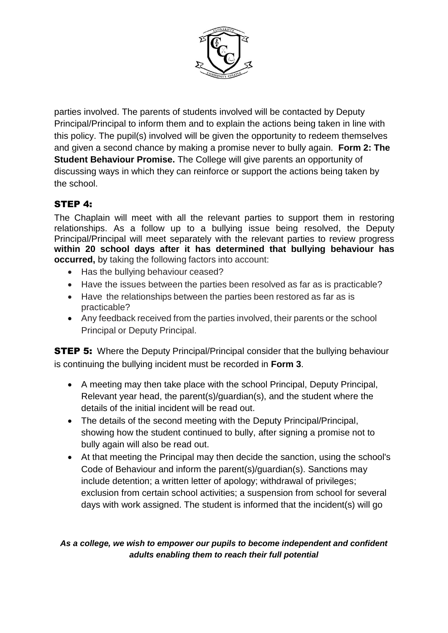

parties involved. The parents of students involved will be contacted by Deputy Principal/Principal to inform them and to explain the actions being taken in line with this policy. The pupil(s) involved will be given the opportunity to redeem themselves and given a second chance by making a promise never to bully again. **Form 2: The Student Behaviour Promise.** The College will give parents an opportunity of discussing ways in which they can reinforce or support the actions being taken by the school.

# STEP 4:

The Chaplain will meet with all the relevant parties to support them in restoring relationships. As a follow up to a bullying issue being resolved, the Deputy Principal/Principal will meet separately with the relevant parties to review progress **within 20 school days after it has determined that bullying behaviour has occurred,** by taking the following factors into account:

- Has the bullying behaviour ceased?
- Have the issues between the parties been resolved as far as is practicable?
- Have the relationships between the parties been restored as far as is practicable?
- Any feedback received from the parties involved, their parents or the school Principal or Deputy Principal.

**STEP 5:** Where the Deputy Principal/Principal consider that the bullying behaviour is continuing the bullying incident must be recorded in **Form 3**.

- A meeting may then take place with the school Principal, Deputy Principal, Relevant year head, the parent(s)/guardian(s), and the student where the details of the initial incident will be read out.
- The details of the second meeting with the Deputy Principal/Principal, showing how the student continued to bully, after signing a promise not to bully again will also be read out.
- At that meeting the Principal may then decide the sanction, using the school's Code of Behaviour and inform the parent(s)/guardian(s). Sanctions may include detention; a written letter of apology; withdrawal of privileges; exclusion from certain school activities; a suspension from school for several days with work assigned. The student is informed that the incident(s) will go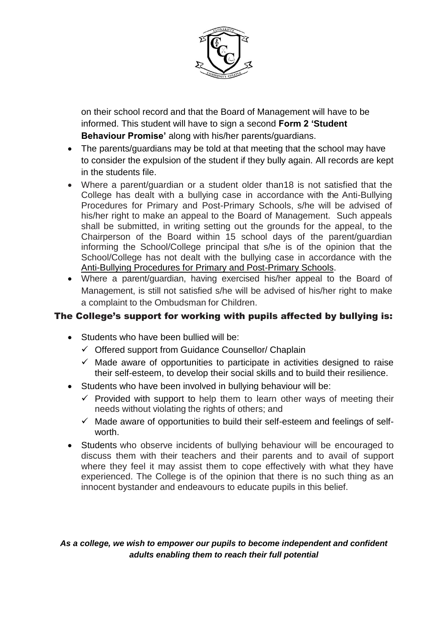

on their school record and that the Board of Management will have to be informed. This student will have to sign a second **Form 2 'Student Behaviour Promise'** along with his/her parents/guardians.

- The parents/guardians may be told at that meeting that the school may have to consider the expulsion of the student if they bully again. All records are kept in the students file.
- Where a parent/guardian or a student older than18 is not satisfied that the College has dealt with a bullying case in accordance with the [Anti-Bullying](http://www.education.ie/en/Publications/Policy-Reports/Anti-Bullying-Procedures-for-Primary-and-Post-Primary-Schools.pdf)  [Procedures for Primary and Post-Primary Schools,](http://www.education.ie/en/Publications/Policy-Reports/Anti-Bullying-Procedures-for-Primary-and-Post-Primary-Schools.pdf) s/he will be advised of his/her right to make an appeal to the Board of Management. Such appeals shall be submitted, in writing setting out the grounds for the appeal, to the Chairperson of the Board within 15 school days of the parent/guardian informing the School/College principal that s/he is of the opinion that the School/College has not dealt with the bullying case in accordance with the [Anti-Bullying Procedures for Primary and Post-Primary Schools.](http://www.education.ie/en/Publications/Policy-Reports/Anti-Bullying-Procedures-for-Primary-and-Post-Primary-Schools.pdf)
- Where a parent/guardian, having exercised his/her appeal to the Board of Management, is still not satisfied s/he will be advised of his/her right to make a complaint to the Ombudsman for Children.

## The College's support for working with pupils affected by bullying is:

- Students who have been bullied will be:
	- $\checkmark$  Offered support from Guidance Counsellor/ Chaplain
	- $\checkmark$  Made aware of opportunities to participate in activities designed to raise their self-esteem, to develop their social skills and to build their resilience.
- Students who have been involved in bullying behaviour will be:
	- $\checkmark$  Provided with support to help them to learn other ways of meeting their needs without violating the rights of others; and
	- $\checkmark$  Made aware of opportunities to build their self-esteem and feelings of selfworth.
- Students who observe incidents of bullying behaviour will be encouraged to discuss them with their teachers and their parents and to avail of support where they feel it may assist them to cope effectively with what they have experienced. The College is of the opinion that there is no such thing as an innocent bystander and endeavours to educate pupils in this belief.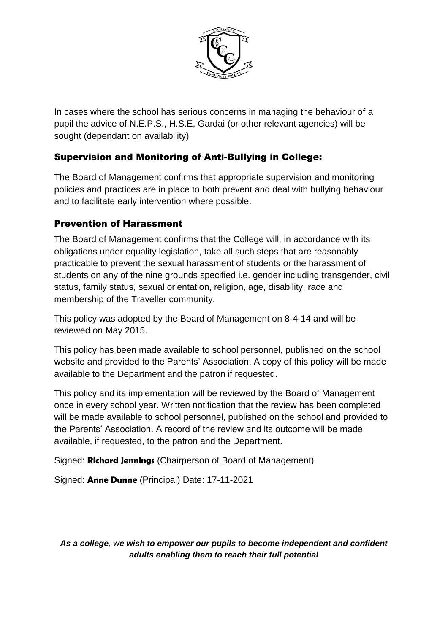

In cases where the school has serious concerns in managing the behaviour of a pupil the advice of N.E.P.S., H.S.E, Gardai (or other relevant agencies) will be sought (dependant on availability)

# Supervision and Monitoring of Anti-Bullying in College:

The Board of Management confirms that appropriate supervision and monitoring policies and practices are in place to both prevent and deal with bullying behaviour and to facilitate early intervention where possible.

# Prevention of Harassment

The Board of Management confirms that the College will, in accordance with its obligations under equality legislation, take all such steps that are reasonably practicable to prevent the sexual harassment of students or the harassment of students on any of the nine grounds specified i.e. gender including transgender, civil status, family status, sexual orientation, religion, age, disability, race and membership of the Traveller community.

This policy was adopted by the Board of Management on 8-4-14 and will be reviewed on May 2015.

This policy has been made available to school personnel, published on the school website and provided to the Parents' Association. A copy of this policy will be made available to the Department and the patron if requested.

This policy and its implementation will be reviewed by the Board of Management once in every school year. Written notification that the review has been completed will be made available to school personnel, published on the school and provided to the Parents' Association. A record of the review and its outcome will be made available, if requested, to the patron and the Department.

Signed: **Richard Jennings** (Chairperson of Board of Management)

Signed: **Anne Dunne** (Principal) Date: 17-11-2021